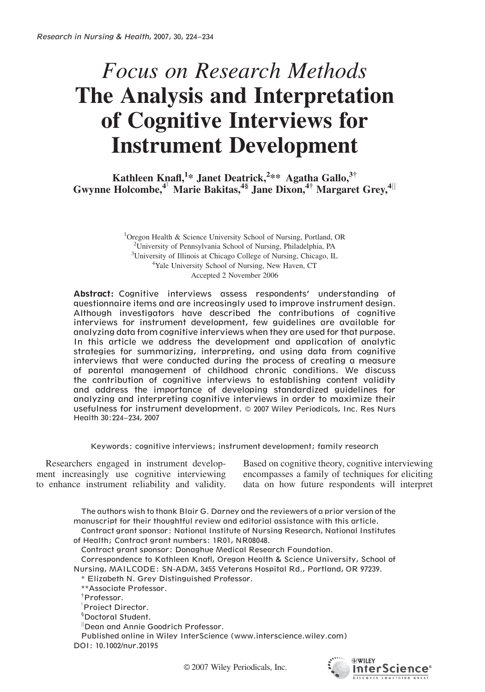# Focus on Research Methods The Analysis and Interpretation of Cognitive Interviews for Instrument Development

Kathleen Knafl,<sup>1\*</sup> Janet Deatrick,<sup>2\*\*</sup> Agatha Gallo,<sup>3†</sup> Gwynne Holcombe,<sup>4†</sup> Marie Bakitas,<sup>4§</sup> Jane Dixon,<sup>4†</sup> Margaret Grey,<sup>4||</sup>

> <sup>1</sup>Oregon Health & Science University School of Nursing, Portland, OR<br><sup>2</sup>University of Pennsylvania School of Nursing, Philadelphia, PA University of Pennsylvania School of Nursing, Philadelphia, PA <sup>3</sup>University of Illinois at Chicago College of Nursing, Chicago, IL 4 Yale University School of Nursing, New Haven, CT Accepted 2 November 2006

Abstract: Cognitive interviews assess respondents' understanding of questionnaire items and are increasingly used to improve instrument design. Although investigators have described the contributions of cognitive interviews for instrument development, few guidelines are available for analyzing data from cognitive interviews when they are used for that purpose. In this article we address the development and application of analytic strategies for summarizing, interpreting, and using data from cognitive interviews that were conducted during the process of creating a measure of parental management of childhood chronic conditions. We discuss the contribution of cognitive interviews to establishing content validity and address the importance of developing standardized guidelines for analyzing and interpreting cognitive interviews in order to maximize their usefulness for instrument development. 2007 Wiley Periodicals, Inc. Res Nurs Health 30:224–234, 2007

Keywords: cognitive interviews; instrument development; family research

Researchers engaged in instrument development increasingly use cognitive interviewing to enhance instrument reliability and validity.

Based on cognitive theory, cognitive interviewing encompasses a family of techniques for eliciting data on how future respondents will interpret

The authors wish to thank Blair G. Darney and the reviewers of a prior version of the manuscript for their thoughtful review and editorial assistance with this article. Contract grant sponsor: National Institute of Nursing Research, National Institutes of Health; Contract grant numbers: 1R01, NR08048.

Contract grant sponsor: Donaghue Medical Research Foundation.

Correspondence to Kathleen Knafl, Oregon Health & Science University, School of Nursing, MAILCODE: SN-ADM, 3455 Veterans Hospital Rd., Portland, OR 97239.

\* Elizabeth N. Grey Distinguished Professor.

\*\*Associate Professor.

{ Professor.

<sup>‡</sup> Project Director.

§ Doctoral Student.

<sup>Il</sup>Dean and Annie Goodrich Professor.

Published online in Wiley InterScience (www.interscience.wiley.com) DOI: 10.1002/nur.20195



2007 Wiley Periodicals, Inc.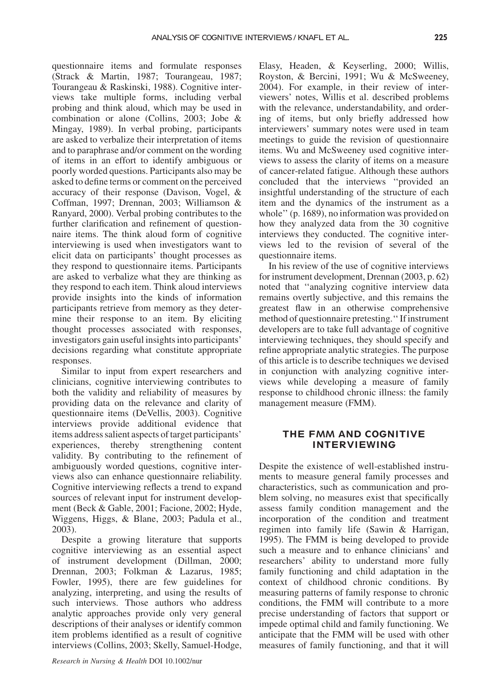questionnaire items and formulate responses (Strack & Martin, 1987; Tourangeau, 1987; Tourangeau & Raskinski, 1988). Cognitive interviews take multiple forms, including verbal probing and think aloud, which may be used in combination or alone (Collins, 2003; Jobe & Mingay, 1989). In verbal probing, participants are asked to verbalize their interpretation of items and to paraphrase and/or comment on the wording of items in an effort to identify ambiguous or poorly worded questions. Participants also may be asked to define terms or comment on the perceived accuracy of their response (Davison, Vogel, & Coffman, 1997; Drennan, 2003; Williamson & Ranyard, 2000). Verbal probing contributes to the further clarification and refinement of questionnaire items. The think aloud form of cognitive interviewing is used when investigators want to elicit data on participants' thought processes as they respond to questionnaire items. Participants are asked to verbalize what they are thinking as they respond to each item. Think aloud interviews provide insights into the kinds of information participants retrieve from memory as they determine their response to an item. By eliciting thought processes associated with responses, investigators gain useful insights into participants' decisions regarding what constitute appropriate responses.

Similar to input from expert researchers and clinicians, cognitive interviewing contributes to both the validity and reliability of measures by providing data on the relevance and clarity of questionnaire items (DeVellis, 2003). Cognitive interviews provide additional evidence that items address salient aspects of target participants' experiences, thereby strengthening content validity. By contributing to the refinement of ambiguously worded questions, cognitive interviews also can enhance questionnaire reliability. Cognitive interviewing reflects a trend to expand sources of relevant input for instrument development (Beck & Gable, 2001; Facione, 2002; Hyde, Wiggens, Higgs, & Blane, 2003; Padula et al., 2003).

Despite a growing literature that supports cognitive interviewing as an essential aspect of instrument development (Dillman, 2000; Drennan, 2003; Folkman & Lazarus, 1985; Fowler, 1995), there are few guidelines for analyzing, interpreting, and using the results of such interviews. Those authors who address analytic approaches provide only very general descriptions of their analyses or identify common item problems identified as a result of cognitive interviews (Collins, 2003; Skelly, Samuel-Hodge, Elasy, Headen, & Keyserling, 2000; Willis, Royston, & Bercini, 1991; Wu & McSweeney, 2004). For example, in their review of interviewers' notes, Willis et al. described problems with the relevance, understandability, and ordering of items, but only briefly addressed how interviewers' summary notes were used in team meetings to guide the revision of questionnaire items. Wu and McSweeney used cognitive interviews to assess the clarity of items on a measure of cancer-related fatigue. Although these authors concluded that the interviews ''provided an insightful understanding of the structure of each item and the dynamics of the instrument as a whole'' (p. 1689), no information was provided on how they analyzed data from the 30 cognitive interviews they conducted. The cognitive interviews led to the revision of several of the questionnaire items.

In his review of the use of cognitive interviews for instrument development, Drennan (2003, p. 62) noted that ''analyzing cognitive interview data remains overtly subjective, and this remains the greatest flaw in an otherwise comprehensive method of questionnaire pretesting.'' If instrument developers are to take full advantage of cognitive interviewing techniques, they should specify and refine appropriate analytic strategies. The purpose of this article is to describe techniques we devised in conjunction with analyzing cognitive interviews while developing a measure of family response to childhood chronic illness: the family management measure (FMM).

# THE FMM AND COGNITIVE INTERVIEWING

Despite the existence of well-established instruments to measure general family processes and characteristics, such as communication and problem solving, no measures exist that specifically assess family condition management and the incorporation of the condition and treatment regimen into family life (Sawin & Harrigan, 1995). The FMM is being developed to provide such a measure and to enhance clinicians' and researchers' ability to understand more fully family functioning and child adaptation in the context of childhood chronic conditions. By measuring patterns of family response to chronic conditions, the FMM will contribute to a more precise understanding of factors that support or impede optimal child and family functioning. We anticipate that the FMM will be used with other measures of family functioning, and that it will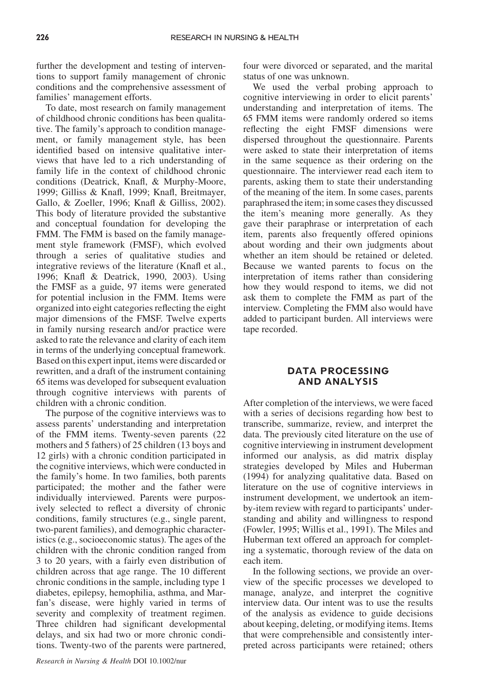further the development and testing of interventions to support family management of chronic conditions and the comprehensive assessment of families' management efforts.

To date, most research on family management of childhood chronic conditions has been qualitative. The family's approach to condition management, or family management style, has been identified based on intensive qualitative interviews that have led to a rich understanding of family life in the context of childhood chronic conditions (Deatrick, Knafl, & Murphy-Moore, 1999; Gilliss & Knafl, 1999; Knafl, Breitmayer, Gallo, & Zoeller, 1996; Knafl & Gilliss, 2002). This body of literature provided the substantive and conceptual foundation for developing the FMM. The FMM is based on the family management style framework (FMSF), which evolved through a series of qualitative studies and integrative reviews of the literature (Knafl et al., 1996; Knafl & Deatrick, 1990, 2003). Using the FMSF as a guide, 97 items were generated for potential inclusion in the FMM. Items were organized into eight categories reflecting the eight major dimensions of the FMSF. Twelve experts in family nursing research and/or practice were asked to rate the relevance and clarity of each item in terms of the underlying conceptual framework. Based on this expert input, items were discarded or rewritten, and a draft of the instrument containing 65 items was developed for subsequent evaluation through cognitive interviews with parents of children with a chronic condition.

The purpose of the cognitive interviews was to assess parents' understanding and interpretation of the FMM items. Twenty-seven parents (22 mothers and 5 fathers) of 25 children (13 boys and 12 girls) with a chronic condition participated in the cognitive interviews, which were conducted in the family's home. In two families, both parents participated; the mother and the father were individually interviewed. Parents were purposively selected to reflect a diversity of chronic conditions, family structures (e.g., single parent, two-parent families), and demographic characteristics (e.g., socioeconomic status). The ages of the children with the chronic condition ranged from 3 to 20 years, with a fairly even distribution of children across that age range. The 10 different chronic conditions in the sample, including type 1 diabetes, epilepsy, hemophilia, asthma, and Marfan's disease, were highly varied in terms of severity and complexity of treatment regimen. Three children had significant developmental delays, and six had two or more chronic conditions. Twenty-two of the parents were partnered,

four were divorced or separated, and the marital status of one was unknown.

We used the verbal probing approach to cognitive interviewing in order to elicit parents' understanding and interpretation of items. The 65 FMM items were randomly ordered so items reflecting the eight FMSF dimensions were dispersed throughout the questionnaire. Parents were asked to state their interpretation of items in the same sequence as their ordering on the questionnaire. The interviewer read each item to parents, asking them to state their understanding of the meaning of the item. In some cases, parents paraphrased the item; in some cases they discussed the item's meaning more generally. As they gave their paraphrase or interpretation of each item, parents also frequently offered opinions about wording and their own judgments about whether an item should be retained or deleted. Because we wanted parents to focus on the interpretation of items rather than considering how they would respond to items, we did not ask them to complete the FMM as part of the interview. Completing the FMM also would have added to participant burden. All interviews were tape recorded.

#### DATA PROCESSING AND ANALYSIS

After completion of the interviews, we were faced with a series of decisions regarding how best to transcribe, summarize, review, and interpret the data. The previously cited literature on the use of cognitive interviewing in instrument development informed our analysis, as did matrix display strategies developed by Miles and Huberman (1994) for analyzing qualitative data. Based on literature on the use of cognitive interviews in instrument development, we undertook an itemby-item review with regard to participants' understanding and ability and willingness to respond (Fowler, 1995; Willis et al., 1991). The Miles and Huberman text offered an approach for completing a systematic, thorough review of the data on each item.

In the following sections, we provide an overview of the specific processes we developed to manage, analyze, and interpret the cognitive interview data. Our intent was to use the results of the analysis as evidence to guide decisions about keeping, deleting, or modifying items. Items that were comprehensible and consistently interpreted across participants were retained; others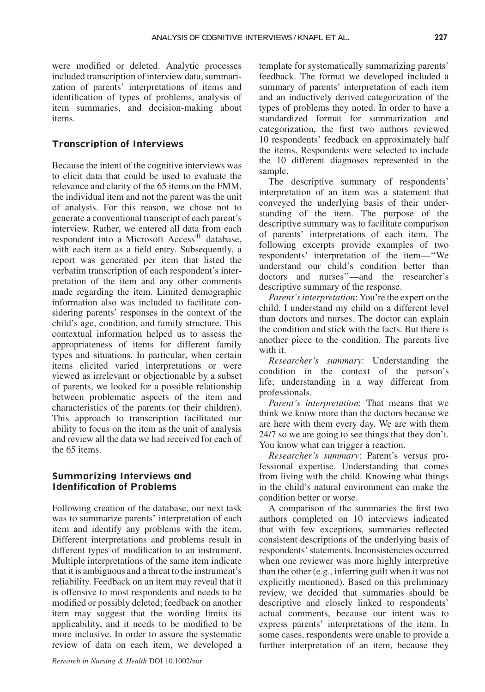were modified or deleted. Analytic processes included transcription of interview data, summarization of parents' interpretations of items and identification of types of problems, analysis of item summaries, and decision-making about items.

#### Transcription of Interviews

Because the intent of the cognitive interviews was to elicit data that could be used to evaluate the relevance and clarity of the 65 items on the FMM, the individual item and not the parent was the unit of analysis. For this reason, we chose not to generate a conventional transcript of each parent's interview. Rather, we entered all data from each respondent into a Microsoft Access<sup>®</sup> database, with each item as a field entry. Subsequently, a report was generated per item that listed the verbatim transcription of each respondent's interpretation of the item and any other comments made regarding the item. Limited demographic information also was included to facilitate considering parents' responses in the context of the child's age, condition, and family structure. This contextual information helped us to assess the appropriateness of items for different family types and situations. In particular, when certain items elicited varied interpretations or were viewed as irrelevant or objectionable by a subset of parents, we looked for a possible relationship between problematic aspects of the item and characteristics of the parents (or their children). This approach to transcription facilitated our ability to focus on the item as the unit of analysis and review all the data we had received for each of the 65 items.

#### Summarizing Interviews and Identification of Problems

Following creation of the database, our next task was to summarize parents' interpretation of each item and identify any problems with the item. Different interpretations and problems result in different types of modification to an instrument. Multiple interpretations of the same item indicate that it is ambiguous and a threat to the instrument's reliability. Feedback on an item may reveal that it is offensive to most respondents and needs to be modified or possibly deleted; feedback on another item may suggest that the wording limits its applicability, and it needs to be modified to be more inclusive. In order to assure the systematic review of data on each item, we developed a template for systematically summarizing parents' feedback. The format we developed included a summary of parents' interpretation of each item and an inductively derived categorization of the types of problems they noted. In order to have a standardized format for summarization and categorization, the first two authors reviewed 10 respondents' feedback on approximately half the items. Respondents were selected to include the 10 different diagnoses represented in the sample.

The descriptive summary of respondents' interpretation of an item was a statement that conveyed the underlying basis of their understanding of the item. The purpose of the descriptive summary was to facilitate comparison of parents' interpretations of each item. The following excerpts provide examples of two respondents' interpretation of the item—''We understand our child's condition better than doctors and nurses''—and the researcher's descriptive summary of the response.

Parent's interpretation: You're the expert on the child. I understand my child on a different level than doctors and nurses. The doctor can explain the condition and stick with the facts. But there is another piece to the condition. The parents live with it.

Researcher's summary: Understanding the condition in the context of the person's life; understanding in a way different from professionals.

Parent's interpretation: That means that we think we know more than the doctors because we are here with them every day. We are with them 24/7 so we are going to see things that they don't. You know what can trigger a reaction.

Researcher's summary: Parent's versus professional expertise. Understanding that comes from living with the child. Knowing what things in the child's natural environment can make the condition better or worse.

A comparison of the summaries the first two authors completed on 10 interviews indicated that with few exceptions, summaries reflected consistent descriptions of the underlying basis of respondents' statements. Inconsistencies occurred when one reviewer was more highly interpretive than the other (e.g., inferring guilt when it was not explicitly mentioned). Based on this preliminary review, we decided that summaries should be descriptive and closely linked to respondents' actual comments, because our intent was to express parents' interpretations of the item. In some cases, respondents were unable to provide a further interpretation of an item, because they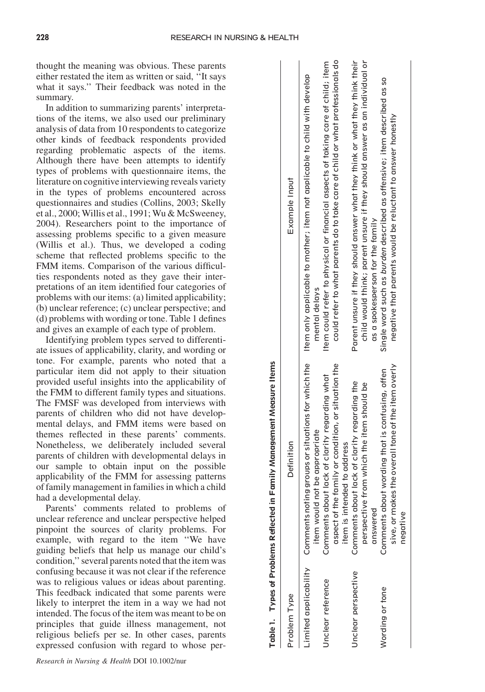thought the meaning was obvious. These parents either restated the item as written or said, ''It says what it says.'' Their feedback was noted in the summary.

In addition to summarizing parents' interpretations of the items, we also used our preliminary analysis of data from 10 respondents to categorize other kinds of feedback respondents provided regarding problematic aspects of the items. Although there have been attempts to identify types of problems with questionnaire items, the literature on cognitive interviewing reveals variety in the types of problems encountered across questionnaires and studies (Collins, 2003; Skelly et al., 2000; Willis et al., 1991; Wu & McSweeney, 2004). Researchers point to the importance of assessing problems specific to a given measure (Willis et al.). Thus, we developed a coding scheme that reflected problems specific to the FMM items. Comparison of the various difficulties respondents noted as they gave their interpretations of an item identified four categories of problems with our items: (a) limited applicability; (b) unclear reference; (c) unclear perspective; and (d) problems with wording or tone. Table 1 defines and gives an example of each type of problem.

Identifying problem types served to differentiate issues of applicability, clarity, and wording or tone. For example, parents who noted that a particular item did not apply to their situation provided useful insights into the applicability of the FMM to different family types and situations. The FMSF was developed from interviews with parents of children who did not have developmental delays, and FMM items were based on themes reflected in these parents' comments. Nonetheless, we deliberately included several parents of children with developmental delays in our sample to obtain input on the possible applicability of the FMM for assessing patterns of family management in families in which a child had a developmental delay.

Parents' comments related to problems of unclear reference and unclear perspective helped pinpoint the sources of clarity problems. For example, with regard to the item ''We have guiding beliefs that help us manage our child's condition,'' several parents noted that the item was confusing because it was not clear if the reference was to religious values or ideas about parenting. This feedback indicated that some parents were likely to interpret the item in a way we had not intended. The focus of the item was meant to be on principles that guide illness management, not religious beliefs per se. In other cases, parents expressed confusion with regard to whose per-

|                       | Table 1. Types of Problems Reflected in Family Management Measure Items                                                                |                                                                                                                                                                                                |
|-----------------------|----------------------------------------------------------------------------------------------------------------------------------------|------------------------------------------------------------------------------------------------------------------------------------------------------------------------------------------------|
| Problem Type          | Definition                                                                                                                             | Example Input                                                                                                                                                                                  |
| Limited applicability | Comments noting groups or situations for which the<br>item would not be appropriate                                                    | I tem only applicable to mother; item not applicable to child with develop<br>mental delays                                                                                                    |
| Jnclear reference     | aspect of the family or condition, or situation the<br>lack of clarity regarding what<br>item is intended to address<br>Comments about | I tem could refer to physical or financial aspects of taking care of child; item<br>could refer to what parents do to take care of child or what professionals do                              |
| Jnclear perspective   | lack of clarity regarding the<br>perspective from which the item should be<br>Comments about<br>answered                               | Parent unsure if they should answer what they think or what they think their<br>child would think; parent unsure if they should answer as an individual or<br>as a spokesperson for the family |
| Wording or tone       | sive, or makes the overall tone of the item overly<br>wording that is confusing, offen<br>Comments about<br>negative                   | Single word such as burden described as offensive; item described as so<br>negative that parents would be reluctant to answer honestly                                                         |
|                       |                                                                                                                                        |                                                                                                                                                                                                |

 $\sim$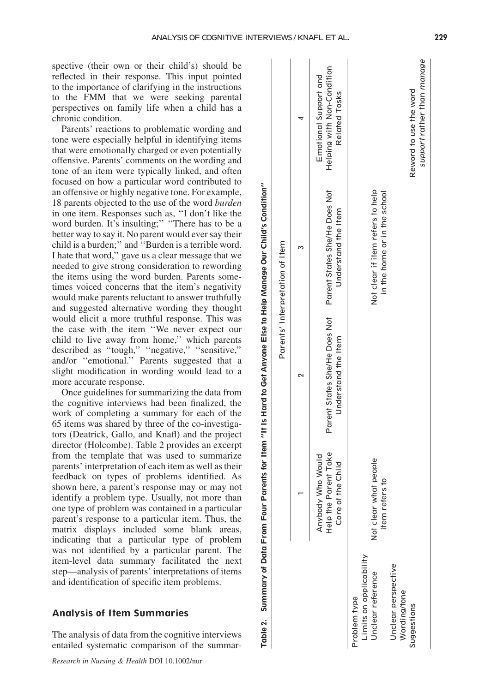$\mathbf{I}$  $\mathbf{I}$   $\mathbf{I}$ 

Table 2. Summary of Data From Four Parents for Item ''It Is Hard to Get Anyone Else to Help Manage Our Child's Condition''

Table 2.

Summary of Data From Four Parents for Item "It is Hard to Get Anyone Else to Help Manage Our Child's Condition"

spective (their own or their child's) should be reflected in their response. This input pointed to the importance of clarifying in the instructions to the FMM that we were seeking parental perspectives on family life when a child has a chronic condition.

Parents' reactions to problematic wording and tone were especially helpful in identifying items that were emotionally charged or even potentially offensive. Parents' comments on the wording and tone of an item were typically linked, and often focused on how a particular word contributed to an offensive or highly negative tone. For example, 18 parents objected to the use of the word burden in one item. Responses such as, ''I don't like the word burden. It's insulting;'' ''There has to be a better way to say it. No parent would ever say their child is a burden;'' and ''Burden is a terrible word. I hate that word,'' gave us a clear message that we needed to give strong consideration to rewording the items using the word burden. Parents sometimes voiced concerns that the item's negativity would make parents reluctant to answer truthfully and suggested alternative wording they thought would elicit a more truthful response. This was the case with the item ''We never expect our child to live away from home,'' which parents described as "tough," "negative," "sensitive," and/or ''emotional.'' Parents suggested that a slight modification in wording would lead to a more accurate response.

Once guidelines for summarizing the data from the cognitive interviews had been finalized, the work of completing a summary for each of the 65 items was shared by three of the co-investigators (Deatrick, Gallo, and Knafl) and the project director (Holcombe). Table 2 provides an excerpt from the template that was used to summarize parents' interpretation of each item as well as their feedback on types of problems identified. As shown here, a parent's response may or may not identify a problem type. Usually, not more than one type of problem was contained in a particular parent's response to a particular item. Thus, the matrix displays included some blank areas, indicating that a particular type of problem was not identified by a particular parent. The item-level data summary facilitated the next step—analysis of parents' interpretations of items and identification of specific item problems.

### Analysis of Item Summaries

The analysis of data from the cognitive interviews entailed systematic comparison of the summar-

|                                                                                                                    |                                                                |                                                      | Parents' Interpretation of Item                                  |                                                                      |
|--------------------------------------------------------------------------------------------------------------------|----------------------------------------------------------------|------------------------------------------------------|------------------------------------------------------------------|----------------------------------------------------------------------|
|                                                                                                                    |                                                                |                                                      |                                                                  |                                                                      |
|                                                                                                                    | Help the Parent Take<br>Anybody Who Would<br>Care of the Child | Parent States She/He Does Not<br>Understand the Item | Parent States She/He Does Not<br>Understand the Item             | Helping with Non-Condition<br>Emotional Support and<br>Related Tasks |
| Limits on applicability<br>Unclear perspective<br>Unclear reference<br>Wording/tone<br>Problem type<br>suggestions | Not clear what people<br>item refers to                        |                                                      | Not clear if item refers to help<br>in the home or in the school | support rather than manage<br>Reword to use the word                 |

 $\mathbf{a}$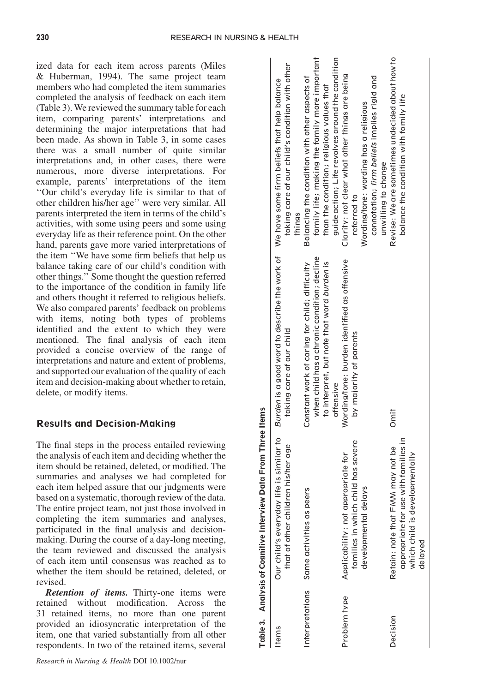ized data for each item across parents (Miles & Huberman, 1994). The same project team members who had completed the item summaries completed the analysis of feedback on each item (Table 3).We reviewed the summary table for each item, comparing parents' interpretations and determining the major interpretations that had been made. As shown in Table 3, in some cases there was a small number of quite similar interpretations and, in other cases, there were numerous, more diverse interpretations. For example, parents' interpretations of the item ''Our child's everyday life is similar to that of other children his/her age'' were very similar. All parents interpreted the item in terms of the child's activities, with some using peers and some using everyday life as their reference point. On the other hand, parents gave more varied interpretations of the item ''We have some firm beliefs that help us balance taking care of our child's condition with other things.'' Some thought the question referred to the importance of the condition in family life and others thought it referred to religious beliefs. We also compared parents' feedback on problems with items, noting both types of problems identified and the extent to which they were mentioned. The final analysis of each item provided a concise overview of the range of interpretations and nature and extent of problems, and supported our evaluation of the quality of each item and decision-making about whether to retain, delete, or modify items.

# Results and Decision-Making

The final steps in the process entailed reviewing the analysis of each item and deciding whether the item should be retained, deleted, or modified. The summaries and analyses we had completed for each item helped assure that our judgments were based on a systematic, thorough review of the data. The entire project team, not just those involved in completing the item summaries and analyses, participated in the final analysis and decisionmaking. During the course of a day-long meeting, the team reviewed and discussed the analysis of each item until consensus was reached as to whether the item should be retained, deleted, or revised.

Retention of items. Thirty-one items were retained without modification. Across the 31 retained items, no more than one parent provided an idiosyncratic interpretation of the item, one that varied substantially from all other respondents. In two of the retained items, several

|                | Table 3. Analysis of Cognitive Interview Data From Three Items                                                        |                                                                                                                                                                       |                                                                                                                                                                                                 |
|----------------|-----------------------------------------------------------------------------------------------------------------------|-----------------------------------------------------------------------------------------------------------------------------------------------------------------------|-------------------------------------------------------------------------------------------------------------------------------------------------------------------------------------------------|
| tems           | his/her age<br>that of other children <b>I</b>                                                                        | Our child's everyday life is similar to <i>Burden</i> is a good word to describe the work of  We have some firm beliefs that help balance<br>taking care of our child | taking care of our child's condition with other<br>things                                                                                                                                       |
| nterpretations | Same activities as peers                                                                                              | when child has a chronic condition; decline<br>to interpret, but note that word burden is<br>Constant work of caring for child; difficulty<br>offensive               | guide action; Life revolves around the condition<br>family life; making the family more important<br>Balancing the condition with other aspects of<br>than the condition; religious values that |
| Problem type   | families in which child has severe<br>Applicability: not appropriate for<br>developmental delays                      | Wording/tone: burden identified as offensive<br>by majority of parents                                                                                                | Clarity: not clear what other things are being<br>connotation; firm beliefs implies rigid and<br>Wording/tone: wording has a religious<br>unwilling to change<br>referred to                    |
| Decision       | appropriate for use with families in<br>Retain: note that FMM may not be<br>which child is developmentally<br>delayed | Omit                                                                                                                                                                  | Revise: We are sometimes undecided about how to<br>balance the condition with family life                                                                                                       |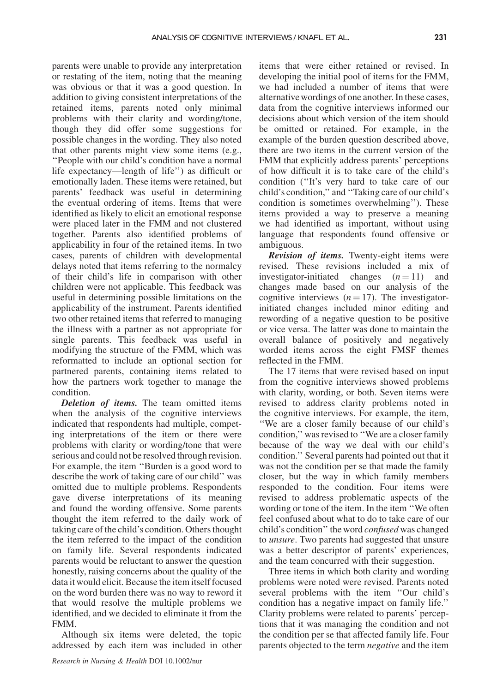parents were unable to provide any interpretation or restating of the item, noting that the meaning was obvious or that it was a good question. In addition to giving consistent interpretations of the retained items, parents noted only minimal problems with their clarity and wording/tone, though they did offer some suggestions for possible changes in the wording. They also noted that other parents might view some items (e.g., ''People with our child's condition have a normal life expectancy—length of life'') as difficult or emotionally laden. These items were retained, but parents' feedback was useful in determining the eventual ordering of items. Items that were identified as likely to elicit an emotional response were placed later in the FMM and not clustered together. Parents also identified problems of applicability in four of the retained items. In two cases, parents of children with developmental delays noted that items referring to the normalcy of their child's life in comparison with other children were not applicable. This feedback was useful in determining possible limitations on the applicability of the instrument. Parents identified two other retained items that referred to managing the illness with a partner as not appropriate for single parents. This feedback was useful in modifying the structure of the FMM, which was reformatted to include an optional section for partnered parents, containing items related to how the partners work together to manage the condition.

**Deletion of items.** The team omitted items when the analysis of the cognitive interviews indicated that respondents had multiple, competing interpretations of the item or there were problems with clarity or wording/tone that were serious and could not be resolved through revision. For example, the item ''Burden is a good word to describe the work of taking care of our child'' was omitted due to multiple problems. Respondents gave diverse interpretations of its meaning and found the wording offensive. Some parents thought the item referred to the daily work of taking care of the child's condition. Others thought the item referred to the impact of the condition on family life. Several respondents indicated parents would be reluctant to answer the question honestly, raising concerns about the quality of the data it would elicit. Because the item itself focused on the word burden there was no way to reword it that would resolve the multiple problems we identified, and we decided to eliminate it from the FMM.

Although six items were deleted, the topic addressed by each item was included in other

Research in Nursing & Health DOI 10.1002/nur

items that were either retained or revised. In developing the initial pool of items for the FMM, we had included a number of items that were alternative wordings of one another. In these cases, data from the cognitive interviews informed our decisions about which version of the item should be omitted or retained. For example, in the example of the burden question described above, there are two items in the current version of the FMM that explicitly address parents' perceptions of how difficult it is to take care of the child's condition (''It's very hard to take care of our child's condition,'' and ''Taking care of our child's condition is sometimes overwhelming''). These items provided a way to preserve a meaning we had identified as important, without using language that respondents found offensive or ambiguous.

**Revision of items.** Twenty-eight items were revised. These revisions included a mix of investigator-initiated changes  $(n = 11)$  and changes made based on our analysis of the cognitive interviews  $(n = 17)$ . The investigatorinitiated changes included minor editing and rewording of a negative question to be positive or vice versa. The latter was done to maintain the overall balance of positively and negatively worded items across the eight FMSF themes reflected in the FMM.

The 17 items that were revised based on input from the cognitive interviews showed problems with clarity, wording, or both. Seven items were revised to address clarity problems noted in the cognitive interviews. For example, the item, ''We are a closer family because of our child's condition,'' was revised to ''We are a closer family because of the way we deal with our child's condition.'' Several parents had pointed out that it was not the condition per se that made the family closer, but the way in which family members responded to the condition. Four items were revised to address problematic aspects of the wording or tone of the item. In the item ''We often feel confused about what to do to take care of our child's condition'' the word confused was changed to unsure. Two parents had suggested that unsure was a better descriptor of parents' experiences, and the team concurred with their suggestion.

Three items in which both clarity and wording problems were noted were revised. Parents noted several problems with the item ''Our child's condition has a negative impact on family life.'' Clarity problems were related to parents' perceptions that it was managing the condition and not the condition per se that affected family life. Four parents objected to the term negative and the item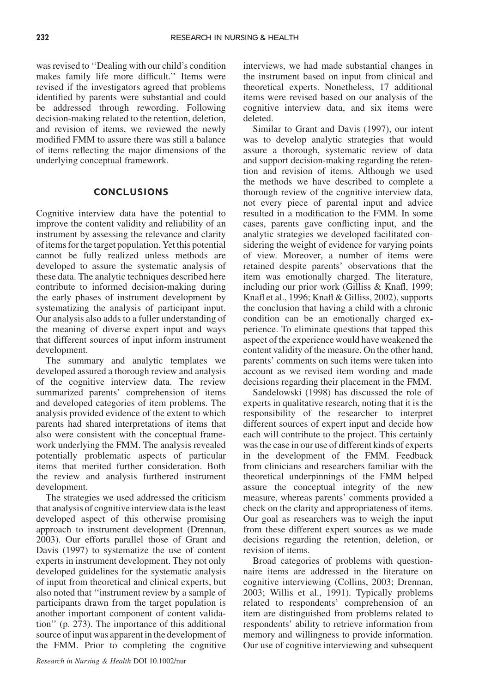was revised to ''Dealing with our child's condition makes family life more difficult.'' Items were revised if the investigators agreed that problems identified by parents were substantial and could be addressed through rewording. Following decision-making related to the retention, deletion, and revision of items, we reviewed the newly modified FMM to assure there was still a balance of items reflecting the major dimensions of the underlying conceptual framework.

# **CONCLUSIONS**

Cognitive interview data have the potential to improve the content validity and reliability of an instrument by assessing the relevance and clarity ofitems for the target population. Yet this potential cannot be fully realized unless methods are developed to assure the systematic analysis of these data. The analytic techniques described here contribute to informed decision-making during the early phases of instrument development by systematizing the analysis of participant input. Our analysis also adds to a fuller understanding of the meaning of diverse expert input and ways that different sources of input inform instrument development.

The summary and analytic templates we developed assured a thorough review and analysis of the cognitive interview data. The review summarized parents' comprehension of items and developed categories of item problems. The analysis provided evidence of the extent to which parents had shared interpretations of items that also were consistent with the conceptual framework underlying the FMM. The analysis revealed potentially problematic aspects of particular items that merited further consideration. Both the review and analysis furthered instrument development.

The strategies we used addressed the criticism that analysis of cognitive interview data is the least developed aspect of this otherwise promising approach to instrument development (Drennan, 2003). Our efforts parallel those of Grant and Davis (1997) to systematize the use of content experts in instrument development. They not only developed guidelines for the systematic analysis of input from theoretical and clinical experts, but also noted that ''instrument review by a sample of participants drawn from the target population is another important component of content validation'' (p. 273). The importance of this additional source of input was apparent in the development of the FMM. Prior to completing the cognitive

interviews, we had made substantial changes in the instrument based on input from clinical and theoretical experts. Nonetheless, 17 additional items were revised based on our analysis of the cognitive interview data, and six items were deleted.

Similar to Grant and Davis (1997), our intent was to develop analytic strategies that would assure a thorough, systematic review of data and support decision-making regarding the retention and revision of items. Although we used the methods we have described to complete a thorough review of the cognitive interview data, not every piece of parental input and advice resulted in a modification to the FMM. In some cases, parents gave conflicting input, and the analytic strategies we developed facilitated considering the weight of evidence for varying points of view. Moreover, a number of items were retained despite parents' observations that the item was emotionally charged. The literature, including our prior work (Gilliss & Knafl, 1999; Knafl et al., 1996; Knafl & Gilliss, 2002), supports the conclusion that having a child with a chronic condition can be an emotionally charged experience. To eliminate questions that tapped this aspect of the experience would have weakened the content validity of the measure. On the other hand, parents' comments on such items were taken into account as we revised item wording and made decisions regarding their placement in the FMM.

Sandelowski (1998) has discussed the role of experts in qualitative research, noting that it is the responsibility of the researcher to interpret different sources of expert input and decide how each will contribute to the project. This certainly was the case in our use of different kinds of experts in the development of the FMM. Feedback from clinicians and researchers familiar with the theoretical underpinnings of the FMM helped assure the conceptual integrity of the new measure, whereas parents' comments provided a check on the clarity and appropriateness of items. Our goal as researchers was to weigh the input from these different expert sources as we made decisions regarding the retention, deletion, or revision of items.

Broad categories of problems with questionnaire items are addressed in the literature on cognitive interviewing (Collins, 2003; Drennan, 2003; Willis et al., 1991). Typically problems related to respondents' comprehension of an item are distinguished from problems related to respondents' ability to retrieve information from memory and willingness to provide information. Our use of cognitive interviewing and subsequent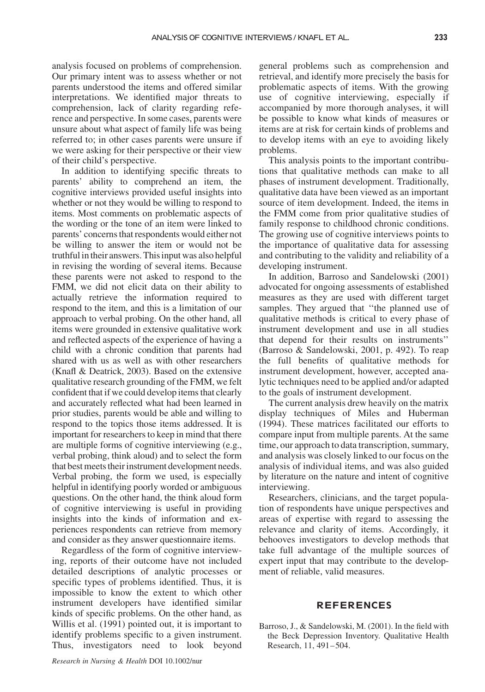analysis focused on problems of comprehension. Our primary intent was to assess whether or not parents understood the items and offered similar interpretations. We identified major threats to comprehension, lack of clarity regarding reference and perspective. In some cases, parents were unsure about what aspect of family life was being referred to; in other cases parents were unsure if we were asking for their perspective or their view of their child's perspective.

In addition to identifying specific threats to parents' ability to comprehend an item, the cognitive interviews provided useful insights into whether or not they would be willing to respond to items. Most comments on problematic aspects of the wording or the tone of an item were linked to parents' concerns that respondents would either not be willing to answer the item or would not be truthful in their answers. Thisinput was also helpful in revising the wording of several items. Because these parents were not asked to respond to the FMM, we did not elicit data on their ability to actually retrieve the information required to respond to the item, and this is a limitation of our approach to verbal probing. On the other hand, all items were grounded in extensive qualitative work and reflected aspects of the experience of having a child with a chronic condition that parents had shared with us as well as with other researchers (Knafl & Deatrick, 2003). Based on the extensive qualitative research grounding of the FMM, we felt confident that if we could develop items that clearly and accurately reflected what had been learned in prior studies, parents would be able and willing to respond to the topics those items addressed. It is important for researchers to keep in mind that there are multiple forms of cognitive interviewing (e.g., verbal probing, think aloud) and to select the form that best meets their instrument development needs. Verbal probing, the form we used, is especially helpful in identifying poorly worded or ambiguous questions. On the other hand, the think aloud form of cognitive interviewing is useful in providing insights into the kinds of information and experiences respondents can retrieve from memory and consider as they answer questionnaire items.

Regardless of the form of cognitive interviewing, reports of their outcome have not included detailed descriptions of analytic processes or specific types of problems identified. Thus, it is impossible to know the extent to which other instrument developers have identified similar kinds of specific problems. On the other hand, as Willis et al. (1991) pointed out, it is important to identify problems specific to a given instrument. Thus, investigators need to look beyond general problems such as comprehension and retrieval, and identify more precisely the basis for problematic aspects of items. With the growing use of cognitive interviewing, especially if accompanied by more thorough analyses, it will be possible to know what kinds of measures or items are at risk for certain kinds of problems and to develop items with an eye to avoiding likely problems.

This analysis points to the important contributions that qualitative methods can make to all phases of instrument development. Traditionally, qualitative data have been viewed as an important source of item development. Indeed, the items in the FMM come from prior qualitative studies of family response to childhood chronic conditions. The growing use of cognitive interviews points to the importance of qualitative data for assessing and contributing to the validity and reliability of a developing instrument.

In addition, Barroso and Sandelowski (2001) advocated for ongoing assessments of established measures as they are used with different target samples. They argued that ''the planned use of qualitative methods is critical to every phase of instrument development and use in all studies that depend for their results on instruments'' (Barroso & Sandelowski, 2001, p. 492). To reap the full benefits of qualitative methods for instrument development, however, accepted analytic techniques need to be applied and/or adapted to the goals of instrument development.

The current analysis drew heavily on the matrix display techniques of Miles and Huberman (1994). These matrices facilitated our efforts to compare input from multiple parents. At the same time, our approach to data transcription, summary, and analysis was closely linked to our focus on the analysis of individual items, and was also guided by literature on the nature and intent of cognitive interviewing.

Researchers, clinicians, and the target population of respondents have unique perspectives and areas of expertise with regard to assessing the relevance and clarity of items. Accordingly, it behooves investigators to develop methods that take full advantage of the multiple sources of expert input that may contribute to the development of reliable, valid measures.

#### **REFERENCES**

Barroso, J., & Sandelowski, M. (2001). In the field with the Beck Depression Inventory. Qualitative Health Research, 11, 491–504.